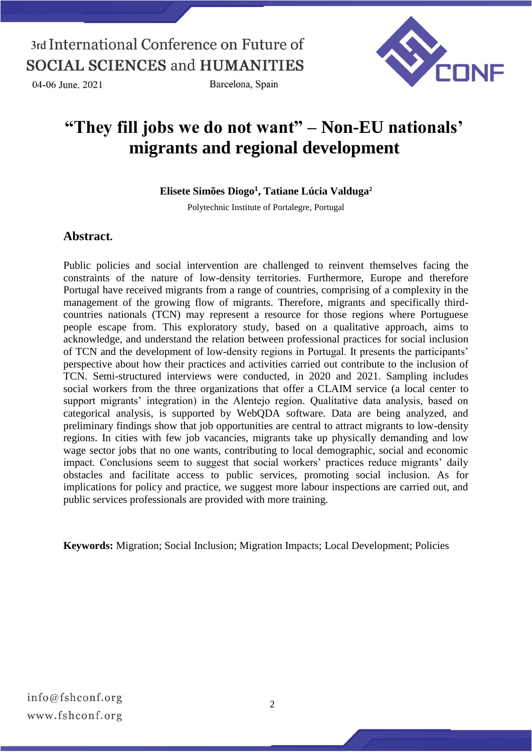04-06 June, 2021

Barcelona, Spain



# **"They fill jobs we do not want" – Non-EU nationals' migrants and regional development**

**Elisete Simões Diogo<sup>1</sup> , Tatiane Lúcia Valduga<sup>2</sup>**

Polytechnic Institute of Portalegre, Portugal

### **Abstract.**

Public policies and social intervention are challenged to reinvent themselves facing the constraints of the nature of low-density territories. Furthermore, Europe and therefore Portugal have received migrants from a range of countries, comprising of a complexity in the management of the growing flow of migrants. Therefore, migrants and specifically thirdcountries nationals (TCN) may represent a resource for those regions where Portuguese people escape from. This exploratory study, based on a qualitative approach, aims to acknowledge, and understand the relation between professional practices for social inclusion of TCN and the development of low-density regions in Portugal. It presents the participants' perspective about how their practices and activities carried out contribute to the inclusion of TCN. Semi-structured interviews were conducted, in 2020 and 2021. Sampling includes social workers from the three organizations that offer a CLAIM service (a local center to support migrants' integration) in the Alentejo region. Qualitative data analysis, based on categorical analysis, is supported by WebQDA software. Data are being analyzed, and preliminary findings show that job opportunities are central to attract migrants to low-density regions. In cities with few job vacancies, migrants take up physically demanding and low wage sector jobs that no one wants, contributing to local demographic, social and economic impact. Conclusions seem to suggest that social workers' practices reduce migrants' daily obstacles and facilitate access to public services, promoting social inclusion. As for implications for policy and practice, we suggest more labour inspections are carried out, and public services professionals are provided with more training.

**Keywords:** Migration; Social Inclusion; Migration Impacts; Local Development; Policies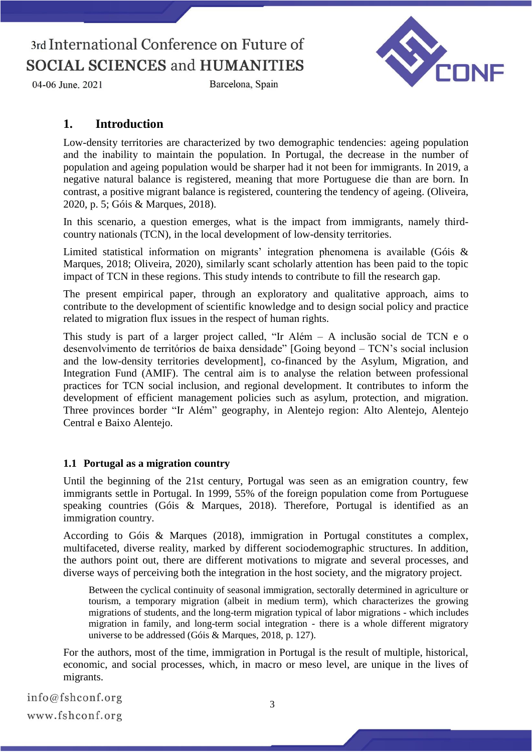

Barcelona, Spain



### **1. Introduction**

Low-density territories are characterized by two demographic tendencies: ageing population and the inability to maintain the population. In Portugal, the decrease in the number of population and ageing population would be sharper had it not been for immigrants. In 2019, a negative natural balance is registered, meaning that more Portuguese die than are born. In contrast, a positive migrant balance is registered, countering the tendency of ageing. (Oliveira, 2020, p. 5; Góis & Marques, 2018).

In this scenario, a question emerges, what is the impact from immigrants, namely thirdcountry nationals (TCN), in the local development of low-density territories.

Limited statistical information on migrants' integration phenomena is available (Góis & Marques, 2018; Oliveira, 2020), similarly scant scholarly attention has been paid to the topic impact of TCN in these regions. This study intends to contribute to fill the research gap.

The present empirical paper, through an exploratory and qualitative approach, aims to contribute to the development of scientific knowledge and to design social policy and practice related to migration flux issues in the respect of human rights.

This study is part of a larger project called, "Ir Além – A inclusão social de TCN e o desenvolvimento de territórios de baixa densidade" [Going beyond – TCN's social inclusion and the low-density territories development], co-financed by the Asylum, Migration, and Integration Fund (AMIF). The central aim is to analyse the relation between professional practices for TCN social inclusion, and regional development. It contributes to inform the development of efficient management policies such as asylum, protection, and migration. Three provinces border "Ir Além" geography, in Alentejo region: Alto Alentejo, Alentejo Central e Baixo Alentejo.

#### **1.1 Portugal as a migration country**

Until the beginning of the 21st century, Portugal was seen as an emigration country, few immigrants settle in Portugal. In 1999, 55% of the foreign population come from Portuguese speaking countries (Góis & Marques, 2018). Therefore, Portugal is identified as an immigration country.

According to Góis & Marques (2018), immigration in Portugal constitutes a complex, multifaceted, diverse reality, marked by different sociodemographic structures. In addition, the authors point out, there are different motivations to migrate and several processes, and diverse ways of perceiving both the integration in the host society, and the migratory project.

Between the cyclical continuity of seasonal immigration, sectorally determined in agriculture or tourism, a temporary migration (albeit in medium term), which characterizes the growing migrations of students, and the long-term migration typical of labor migrations - which includes migration in family, and long-term social integration - there is a whole different migratory universe to be addressed (Góis & Marques, 2018, p. 127).

For the authors, most of the time, immigration in Portugal is the result of multiple, historical, economic, and social processes, which, in macro or meso level, are unique in the lives of migrants.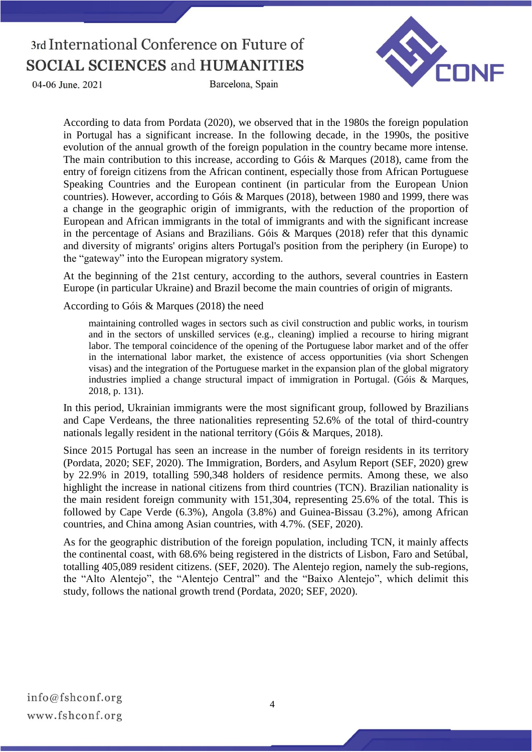

04-06 June, 2021

Barcelona, Spain

According to data from Pordata (2020), we observed that in the 1980s the foreign population in Portugal has a significant increase. In the following decade, in the 1990s, the positive evolution of the annual growth of the foreign population in the country became more intense. The main contribution to this increase, according to Góis & Marques (2018), came from the entry of foreign citizens from the African continent, especially those from African Portuguese Speaking Countries and the European continent (in particular from the European Union countries). However, according to Góis & Marques (2018), between 1980 and 1999, there was a change in the geographic origin of immigrants, with the reduction of the proportion of European and African immigrants in the total of immigrants and with the significant increase in the percentage of Asians and Brazilians. Góis & Marques (2018) refer that this dynamic and diversity of migrants' origins alters Portugal's position from the periphery (in Europe) to the "gateway" into the European migratory system.

At the beginning of the 21st century, according to the authors, several countries in Eastern Europe (in particular Ukraine) and Brazil become the main countries of origin of migrants.

According to Góis & Marques (2018) the need

maintaining controlled wages in sectors such as civil construction and public works, in tourism and in the sectors of unskilled services (e.g., cleaning) implied a recourse to hiring migrant labor. The temporal coincidence of the opening of the Portuguese labor market and of the offer in the international labor market, the existence of access opportunities (via short Schengen visas) and the integration of the Portuguese market in the expansion plan of the global migratory industries implied a change structural impact of immigration in Portugal. (Góis & Marques, 2018, p. 131).

In this period, Ukrainian immigrants were the most significant group, followed by Brazilians and Cape Verdeans, the three nationalities representing 52.6% of the total of third-country nationals legally resident in the national territory (Góis & Marques, 2018).

Since 2015 Portugal has seen an increase in the number of foreign residents in its territory (Pordata, 2020; SEF, 2020). The Immigration, Borders, and Asylum Report (SEF, 2020) grew by 22.9% in 2019, totalling 590,348 holders of residence permits. Among these, we also highlight the increase in national citizens from third countries (TCN). Brazilian nationality is the main resident foreign community with 151,304, representing 25.6% of the total. This is followed by Cape Verde (6.3%), Angola (3.8%) and Guinea-Bissau (3.2%), among African countries, and China among Asian countries, with 4.7%. (SEF, 2020).

As for the geographic distribution of the foreign population, including TCN, it mainly affects the continental coast, with 68.6% being registered in the districts of Lisbon, Faro and Setúbal, totalling 405,089 resident citizens. (SEF, 2020). The Alentejo region, namely the sub-regions, the "Alto Alentejo", the "Alentejo Central" and the "Baixo Alentejo", which delimit this study, follows the national growth trend (Pordata, 2020; SEF, 2020).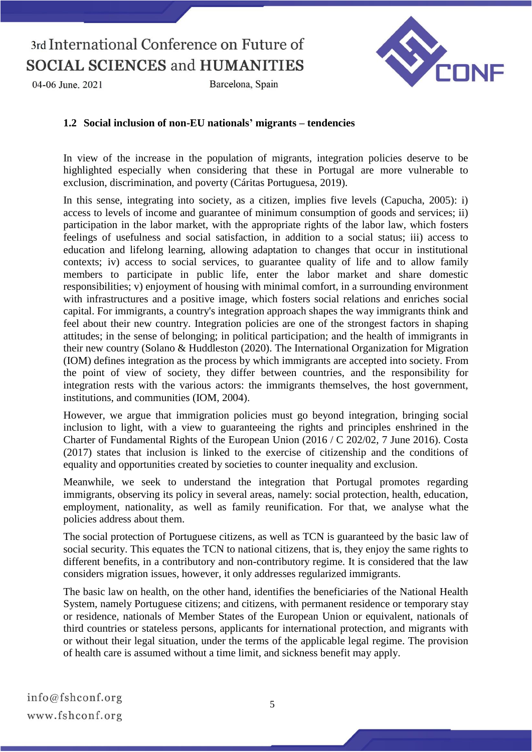04-06 June, 2021

Barcelona, Spain



#### **1.2 Social inclusion of non-EU nationals' migrants – tendencies**

In view of the increase in the population of migrants, integration policies deserve to be highlighted especially when considering that these in Portugal are more vulnerable to exclusion, discrimination, and poverty (Cáritas Portuguesa, 2019).

In this sense, integrating into society, as a citizen, implies five levels (Capucha, 2005): i) access to levels of income and guarantee of minimum consumption of goods and services; ii) participation in the labor market, with the appropriate rights of the labor law, which fosters feelings of usefulness and social satisfaction, in addition to a social status; iii) access to education and lifelong learning, allowing adaptation to changes that occur in institutional contexts; iv) access to social services, to guarantee quality of life and to allow family members to participate in public life, enter the labor market and share domestic responsibilities; v) enjoyment of housing with minimal comfort, in a surrounding environment with infrastructures and a positive image, which fosters social relations and enriches social capital. For immigrants, a country's integration approach shapes the way immigrants think and feel about their new country. Integration policies are one of the strongest factors in shaping attitudes; in the sense of belonging; in political participation; and the health of immigrants in their new country (Solano & Huddleston (2020). The International Organization for Migration (IOM) defines integration as the process by which immigrants are accepted into society. From the point of view of society, they differ between countries, and the responsibility for integration rests with the various actors: the immigrants themselves, the host government, institutions, and communities (IOM, 2004).

However, we argue that immigration policies must go beyond integration, bringing social inclusion to light, with a view to guaranteeing the rights and principles enshrined in the Charter of Fundamental Rights of the European Union (2016 / C 202/02, 7 June 2016). Costa (2017) states that inclusion is linked to the exercise of citizenship and the conditions of equality and opportunities created by societies to counter inequality and exclusion.

Meanwhile, we seek to understand the integration that Portugal promotes regarding immigrants, observing its policy in several areas, namely: social protection, health, education, employment, nationality, as well as family reunification. For that, we analyse what the policies address about them.

The social protection of Portuguese citizens, as well as TCN is guaranteed by the basic law of social security. This equates the TCN to national citizens, that is, they enjoy the same rights to different benefits, in a contributory and non-contributory regime. It is considered that the law considers migration issues, however, it only addresses regularized immigrants.

The basic law on health, on the other hand, identifies the beneficiaries of the National Health System, namely Portuguese citizens; and citizens, with permanent residence or temporary stay or residence, nationals of Member States of the European Union or equivalent, nationals of third countries or stateless persons, applicants for international protection, and migrants with or without their legal situation, under the terms of the applicable legal regime. The provision of health care is assumed without a time limit, and sickness benefit may apply.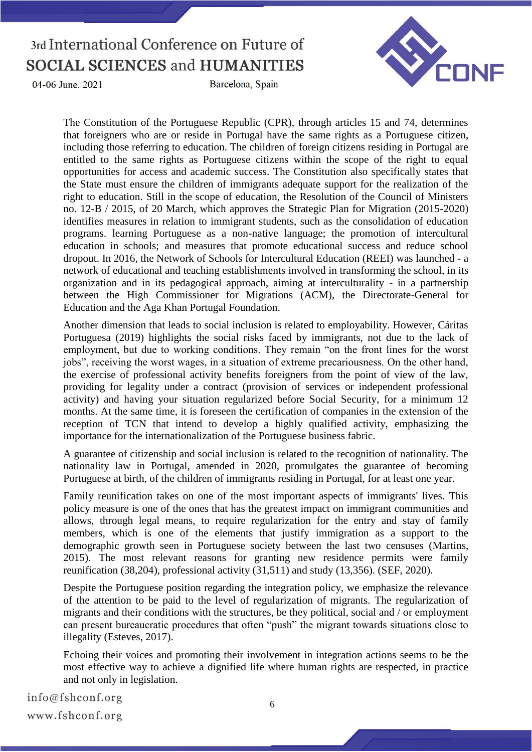04-06 June, 2021

Barcelona, Spain



The Constitution of the Portuguese Republic (CPR), through articles 15 and 74, determines that foreigners who are or reside in Portugal have the same rights as a Portuguese citizen, including those referring to education. The children of foreign citizens residing in Portugal are entitled to the same rights as Portuguese citizens within the scope of the right to equal opportunities for access and academic success. The Constitution also specifically states that the State must ensure the children of immigrants adequate support for the realization of the right to education. Still in the scope of education, the Resolution of the Council of Ministers no. 12-B / 2015, of 20 March, which approves the Strategic Plan for Migration (2015-2020) identifies measures in relation to immigrant students, such as the consolidation of education programs. learning Portuguese as a non-native language; the promotion of intercultural education in schools; and measures that promote educational success and reduce school dropout. In 2016, the Network of Schools for Intercultural Education (REEI) was launched - a network of educational and teaching establishments involved in transforming the school, in its organization and in its pedagogical approach, aiming at interculturality - in a partnership between the High Commissioner for Migrations (ACM), the Directorate-General for Education and the Aga Khan Portugal Foundation.

Another dimension that leads to social inclusion is related to employability. However, Cáritas Portuguesa (2019) highlights the social risks faced by immigrants, not due to the lack of employment, but due to working conditions. They remain "on the front lines for the worst jobs", receiving the worst wages, in a situation of extreme precariousness. On the other hand, the exercise of professional activity benefits foreigners from the point of view of the law, providing for legality under a contract (provision of services or independent professional activity) and having your situation regularized before Social Security, for a minimum 12 months. At the same time, it is foreseen the certification of companies in the extension of the reception of TCN that intend to develop a highly qualified activity, emphasizing the importance for the internationalization of the Portuguese business fabric.

A guarantee of citizenship and social inclusion is related to the recognition of nationality. The nationality law in Portugal, amended in 2020, promulgates the guarantee of becoming Portuguese at birth, of the children of immigrants residing in Portugal, for at least one year.

Family reunification takes on one of the most important aspects of immigrants' lives. This policy measure is one of the ones that has the greatest impact on immigrant communities and allows, through legal means, to require regularization for the entry and stay of family members, which is one of the elements that justify immigration as a support to the demographic growth seen in Portuguese society between the last two censuses (Martins, 2015). The most relevant reasons for granting new residence permits were family reunification (38,204), professional activity (31,511) and study (13,356). (SEF, 2020).

Despite the Portuguese position regarding the integration policy, we emphasize the relevance of the attention to be paid to the level of regularization of migrants. The regularization of migrants and their conditions with the structures, be they political, social and / or employment can present bureaucratic procedures that often "push" the migrant towards situations close to illegality (Esteves, 2017).

Echoing their voices and promoting their involvement in integration actions seems to be the most effective way to achieve a dignified life where human rights are respected, in practice and not only in legislation.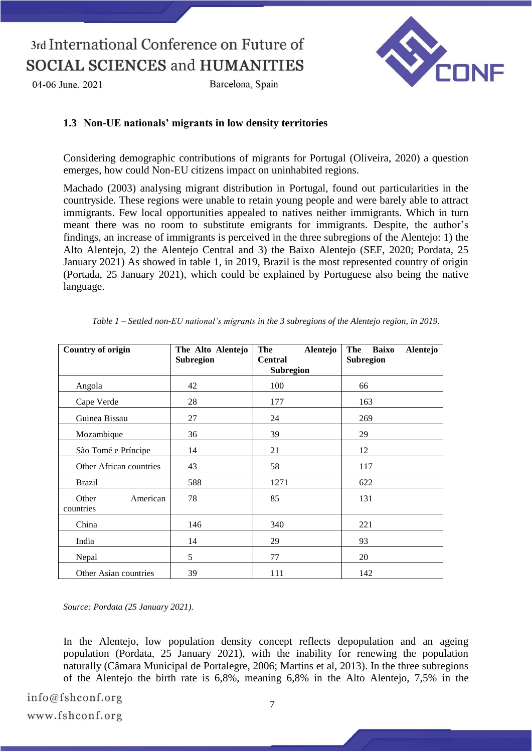04-06 June, 2021

Barcelona, Spain



#### **1.3 Non-UE nationals' migrants in low density territories**

Considering demographic contributions of migrants for Portugal (Oliveira, 2020) a question emerges, how could Non-EU citizens impact on uninhabited regions.

Machado (2003) analysing migrant distribution in Portugal, found out particularities in the countryside. These regions were unable to retain young people and were barely able to attract immigrants. Few local opportunities appealed to natives neither immigrants. Which in turn meant there was no room to substitute emigrants for immigrants. Despite, the author's findings, an increase of immigrants is perceived in the three subregions of the Alentejo: 1) the Alto Alentejo, 2) the Alentejo Central and 3) the Baixo Alentejo (SEF, 2020; Pordata, 25 January 2021) As showed in table 1, in 2019, Brazil is the most represented country of origin (Portada, 25 January 2021), which could be explained by Portuguese also being the native language.

| <b>Country of origin</b>       | The Alto Alentejo<br><b>Subregion</b> | The<br>Alentejo<br><b>Central</b><br><b>Subregion</b> | Baixo<br>Alentejo<br>The<br><b>Subregion</b> |
|--------------------------------|---------------------------------------|-------------------------------------------------------|----------------------------------------------|
| Angola                         | 42                                    | 100                                                   | 66                                           |
| Cape Verde                     | 28                                    | 177                                                   | 163                                          |
| Guinea Bissau                  | 27                                    | 24                                                    | 269                                          |
| Mozambique                     | 36                                    | 39                                                    | 29                                           |
| São Tomé e Príncipe            | 14                                    | 21                                                    | 12                                           |
| Other African countries        | 43                                    | 58                                                    | 117                                          |
| <b>Brazil</b>                  | 588                                   | 1271                                                  | 622                                          |
| American<br>Other<br>countries | 78                                    | 85                                                    | 131                                          |
| China                          | 146                                   | 340                                                   | 221                                          |
| India                          | 14                                    | 29                                                    | 93                                           |
| Nepal                          | 5                                     | 77                                                    | 20                                           |
| Other Asian countries          | 39                                    | 111                                                   | 142                                          |

*Table 1 – Settled non-EU national's migrants in the 3 subregions of the Alentejo region, in 2019.*

*Source: Pordata (25 January 2021).*

In the Alentejo, low population density concept reflects depopulation and an ageing population (Pordata, 25 January 2021), with the inability for renewing the population naturally (Câmara Municipal de Portalegre, 2006; Martins et al, 2013). In the three subregions of the Alentejo the birth rate is 6,8%, meaning 6,8% in the Alto Alentejo, 7,5% in the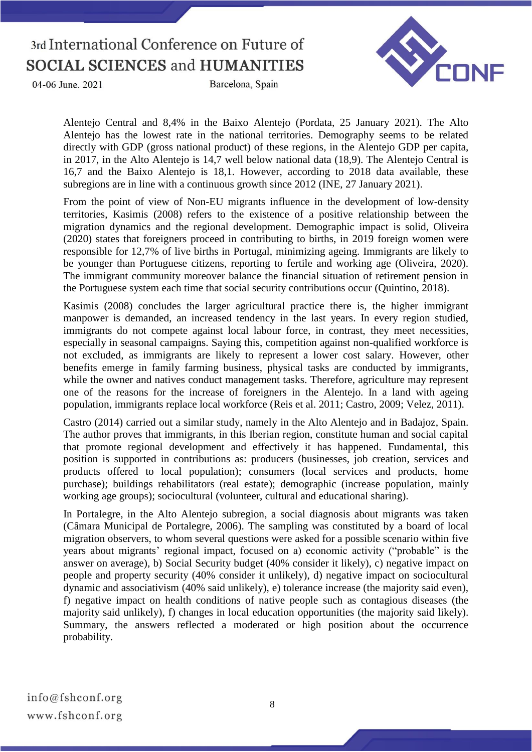04-06 June, 2021





Alentejo Central and 8,4% in the Baixo Alentejo (Pordata, 25 January 2021). The Alto Alentejo has the lowest rate in the national territories. Demography seems to be related directly with GDP (gross national product) of these regions, in the Alentejo GDP per capita, in 2017, in the Alto Alentejo is 14,7 well below national data (18,9). The Alentejo Central is 16,7 and the Baixo Alentejo is 18,1. However, according to 2018 data available, these subregions are in line with a continuous growth since 2012 (INE, 27 January 2021).

From the point of view of Non-EU migrants influence in the development of low-density territories, Kasimis (2008) refers to the existence of a positive relationship between the migration dynamics and the regional development. Demographic impact is solid, Oliveira (2020) states that foreigners proceed in contributing to births, in 2019 foreign women were responsible for 12,7% of live births in Portugal, minimizing ageing. Immigrants are likely to be younger than Portuguese citizens, reporting to fertile and working age (Oliveira, 2020). The immigrant community moreover balance the financial situation of retirement pension in the Portuguese system each time that social security contributions occur (Quintino, 2018).

Kasimis (2008) concludes the larger agricultural practice there is, the higher immigrant manpower is demanded, an increased tendency in the last years. In every region studied, immigrants do not compete against local labour force, in contrast, they meet necessities, especially in seasonal campaigns. Saying this, competition against non-qualified workforce is not excluded, as immigrants are likely to represent a lower cost salary. However, other benefits emerge in family farming business, physical tasks are conducted by immigrants, while the owner and natives conduct management tasks. Therefore, agriculture may represent one of the reasons for the increase of foreigners in the Alentejo. In a land with ageing population, immigrants replace local workforce (Reis et al. 2011; Castro, 2009; Velez, 2011).

Castro (2014) carried out a similar study, namely in the Alto Alentejo and in Badajoz, Spain. The author proves that immigrants, in this Iberian region, constitute human and social capital that promote regional development and effectively it has happened. Fundamental, this position is supported in contributions as: producers (businesses, job creation, services and products offered to local population); consumers (local services and products, home purchase); buildings rehabilitators (real estate); demographic (increase population, mainly working age groups); sociocultural (volunteer, cultural and educational sharing).

In Portalegre, in the Alto Alentejo subregion, a social diagnosis about migrants was taken (Câmara Municipal de Portalegre, 2006). The sampling was constituted by a board of local migration observers, to whom several questions were asked for a possible scenario within five years about migrants' regional impact, focused on a) economic activity ("probable" is the answer on average), b) Social Security budget (40% consider it likely), c) negative impact on people and property security (40% consider it unlikely), d) negative impact on sociocultural dynamic and associativism (40% said unlikely), e) tolerance increase (the majority said even), f) negative impact on health conditions of native people such as contagious diseases (the majority said unlikely), f) changes in local education opportunities (the majority said likely). Summary, the answers reflected a moderated or high position about the occurrence probability.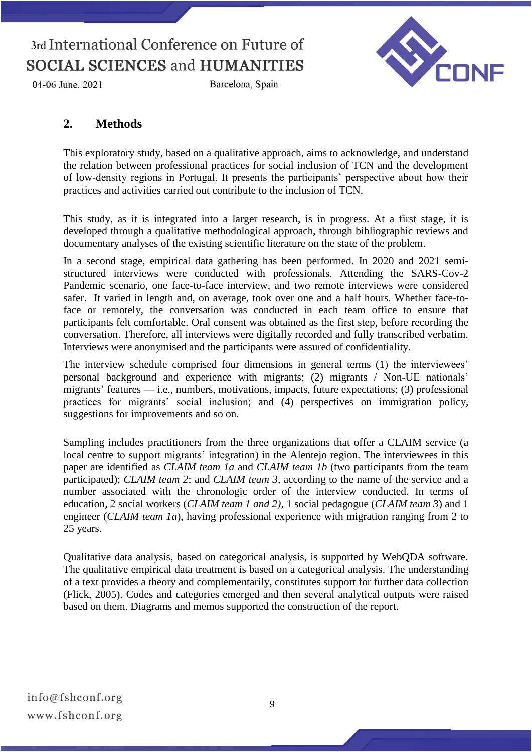

Barcelona, Spain



### **2. Methods**

This exploratory study, based on a qualitative approach, aims to acknowledge, and understand the relation between professional practices for social inclusion of TCN and the development of low-density regions in Portugal. It presents the participants' perspective about how their practices and activities carried out contribute to the inclusion of TCN.

This study, as it is integrated into a larger research, is in progress. At a first stage, it is developed through a qualitative methodological approach, through bibliographic reviews and documentary analyses of the existing scientific literature on the state of the problem.

In a second stage, empirical data gathering has been performed. In 2020 and 2021 semistructured interviews were conducted with professionals. Attending the SARS-Cov-2 Pandemic scenario, one face-to-face interview, and two remote interviews were considered safer. It varied in length and, on average, took over one and a half hours. Whether face-toface or remotely, the conversation was conducted in each team office to ensure that participants felt comfortable. Oral consent was obtained as the first step, before recording the conversation. Therefore, all interviews were digitally recorded and fully transcribed verbatim. Interviews were anonymised and the participants were assured of confidentiality.

The interview schedule comprised four dimensions in general terms (1) the interviewees' personal background and experience with migrants; (2) migrants / Non-UE nationals' migrants' features — i.e., numbers, motivations, impacts, future expectations; (3) professional practices for migrants' social inclusion; and (4) perspectives on immigration policy, suggestions for improvements and so on.

Sampling includes practitioners from the three organizations that offer a CLAIM service (a local centre to support migrants' integration) in the Alentejo region. The interviewees in this paper are identified as *CLAIM team 1a* and *CLAIM team 1b* (two participants from the team participated); *CLAIM team 2*; and *CLAIM team 3*, according to the name of the service and a number associated with the chronologic order of the interview conducted. In terms of education, 2 social workers (*CLAIM team 1 and 2)*, 1 social pedagogue (*CLAIM team 3*) and 1 engineer (*CLAIM team 1a*), having professional experience with migration ranging from 2 to 25 years.

Qualitative data analysis, based on categorical analysis, is supported by WebQDA software. The qualitative empirical data treatment is based on a categorical analysis. The understanding of a text provides a theory and complementarily, constitutes support for further data collection (Flick, 2005). Codes and categories emerged and then several analytical outputs were raised based on them. Diagrams and memos supported the construction of the report.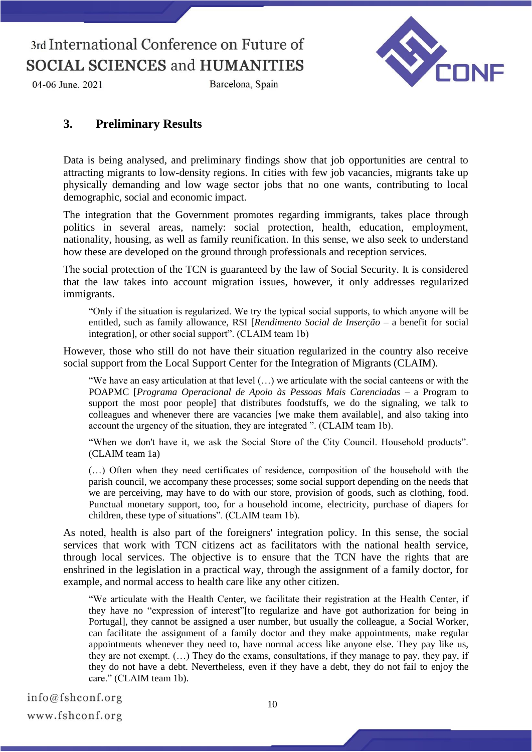

Barcelona, Spain



### **3. Preliminary Results**

Data is being analysed, and preliminary findings show that job opportunities are central to attracting migrants to low-density regions. In cities with few job vacancies, migrants take up physically demanding and low wage sector jobs that no one wants, contributing to local demographic, social and economic impact.

The integration that the Government promotes regarding immigrants, takes place through politics in several areas, namely: social protection, health, education, employment, nationality, housing, as well as family reunification. In this sense, we also seek to understand how these are developed on the ground through professionals and reception services.

The social protection of the TCN is guaranteed by the law of Social Security. It is considered that the law takes into account migration issues, however, it only addresses regularized immigrants.

"Only if the situation is regularized. We try the typical social supports, to which anyone will be entitled, such as family allowance, RSI [*Rendimento Social de Inserção* – a benefit for social integration], or other social support". (CLAIM team 1b)

However, those who still do not have their situation regularized in the country also receive social support from the Local Support Center for the Integration of Migrants (CLAIM).

"We have an easy articulation at that level (…) we articulate with the social canteens or with the POAPMC [*Programa Operacional de Apoio às Pessoas Mais Carenciadas* – a Program to support the most poor people] that distributes foodstuffs, we do the signaling, we talk to colleagues and whenever there are vacancies [we make them available], and also taking into account the urgency of the situation, they are integrated ". (CLAIM team 1b).

"When we don't have it, we ask the Social Store of the City Council. Household products". (CLAIM team 1a)

(…) Often when they need certificates of residence, composition of the household with the parish council, we accompany these processes; some social support depending on the needs that we are perceiving, may have to do with our store, provision of goods, such as clothing, food. Punctual monetary support, too, for a household income, electricity, purchase of diapers for children, these type of situations". (CLAIM team 1b).

As noted, health is also part of the foreigners' integration policy. In this sense, the social services that work with TCN citizens act as facilitators with the national health service, through local services. The objective is to ensure that the TCN have the rights that are enshrined in the legislation in a practical way, through the assignment of a family doctor, for example, and normal access to health care like any other citizen.

"We articulate with the Health Center, we facilitate their registration at the Health Center, if they have no "expression of interest"[to regularize and have got authorization for being in Portugal], they cannot be assigned a user number, but usually the colleague, a Social Worker, can facilitate the assignment of a family doctor and they make appointments, make regular appointments whenever they need to, have normal access like anyone else. They pay like us, they are not exempt. (…) They do the exams, consultations, if they manage to pay, they pay, if they do not have a debt. Nevertheless, even if they have a debt, they do not fail to enjoy the care." (CLAIM team 1b).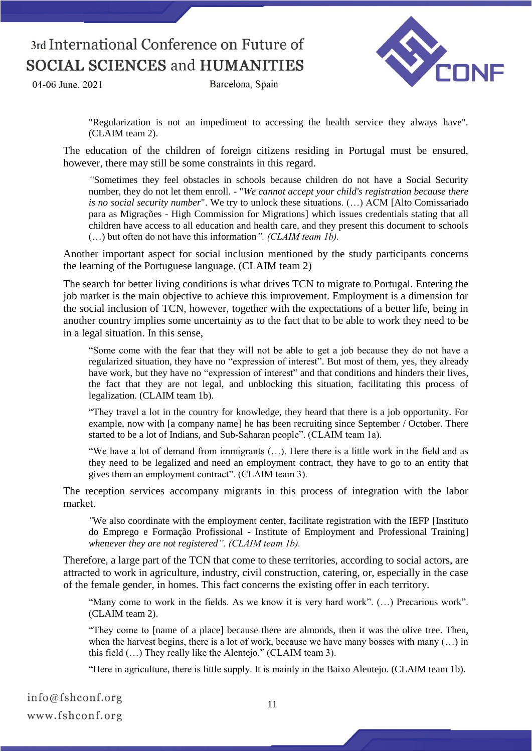04-06 June, 2021

Barcelona, Spain



"Regularization is not an impediment to accessing the health service they always have". (CLAIM team 2).

The education of the children of foreign citizens residing in Portugal must be ensured, however, there may still be some constraints in this regard.

*"*Sometimes they feel obstacles in schools because children do not have a Social Security number, they do not let them enroll. - "*We cannot accept your child's registration because there is no social security number*". We try to unlock these situations. (…) ACM [Alto Comissariado para as Migrações - High Commission for Migrations] which issues credentials stating that all children have access to all education and health care, and they present this document to schools (…) but often do not have this information*". (CLAIM team 1b).*

Another important aspect for social inclusion mentioned by the study participants concerns the learning of the Portuguese language. (CLAIM team 2)

The search for better living conditions is what drives TCN to migrate to Portugal. Entering the job market is the main objective to achieve this improvement. Employment is a dimension for the social inclusion of TCN, however, together with the expectations of a better life, being in another country implies some uncertainty as to the fact that to be able to work they need to be in a legal situation. In this sense,

"Some come with the fear that they will not be able to get a job because they do not have a regularized situation, they have no "expression of interest". But most of them, yes, they already have work, but they have no "expression of interest" and that conditions and hinders their lives, the fact that they are not legal, and unblocking this situation, facilitating this process of legalization. (CLAIM team 1b).

"They travel a lot in the country for knowledge, they heard that there is a job opportunity. For example, now with [a company name] he has been recruiting since September / October. There started to be a lot of Indians, and Sub-Saharan people". (CLAIM team 1a).

"We have a lot of demand from immigrants (…). Here there is a little work in the field and as they need to be legalized and need an employment contract, they have to go to an entity that gives them an employment contract". (CLAIM team 3).

The reception services accompany migrants in this process of integration with the labor market.

*"*We also coordinate with the employment center, facilitate registration with the IEFP [Instituto do Emprego e Formação Profissional - Institute of Employment and Professional Training] *whenever they are not registered". (CLAIM team 1b).*

Therefore, a large part of the TCN that come to these territories, according to social actors, are attracted to work in agriculture, industry, civil construction, catering, or, especially in the case of the female gender, in homes. This fact concerns the existing offer in each territory.

"Many come to work in the fields. As we know it is very hard work". (…) Precarious work". (CLAIM team 2).

"They come to [name of a place] because there are almonds, then it was the olive tree. Then, when the harvest begins, there is a lot of work, because we have many bosses with many  $(...)$  in this field (…) They really like the Alentejo." (CLAIM team 3).

"Here in agriculture, there is little supply. It is mainly in the Baixo Alentejo. (CLAIM team 1b).

| info@fshconf.org |  |
|------------------|--|
| www.fshconf.org  |  |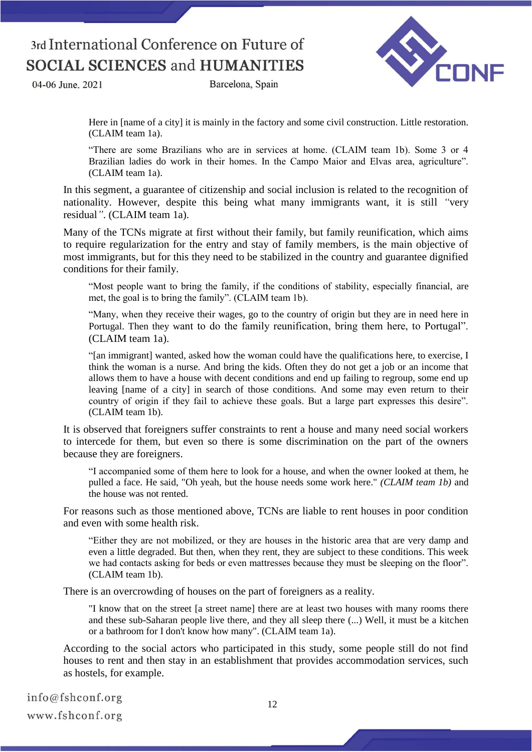04-06 June, 2021

Barcelona, Spain



Here in [name of a city] it is mainly in the factory and some civil construction. Little restoration. (CLAIM team 1a).

"There are some Brazilians who are in services at home. (CLAIM team 1b). Some 3 or 4 Brazilian ladies do work in their homes. In the Campo Maior and Elvas area, agriculture". (CLAIM team 1a).

In this segment, a guarantee of citizenship and social inclusion is related to the recognition of nationality. However, despite this being what many immigrants want, it is still *"*very residual*"*. (CLAIM team 1a).

Many of the TCNs migrate at first without their family, but family reunification, which aims to require regularization for the entry and stay of family members, is the main objective of most immigrants, but for this they need to be stabilized in the country and guarantee dignified conditions for their family.

"Most people want to bring the family, if the conditions of stability, especially financial, are met, the goal is to bring the family". (CLAIM team 1b).

"Many, when they receive their wages, go to the country of origin but they are in need here in Portugal. Then they want to do the family reunification, bring them here, to Portugal". (CLAIM team 1a).

"[an immigrant] wanted, asked how the woman could have the qualifications here, to exercise, I think the woman is a nurse. And bring the kids. Often they do not get a job or an income that allows them to have a house with decent conditions and end up failing to regroup, some end up leaving [name of a city] in search of those conditions. And some may even return to their country of origin if they fail to achieve these goals. But a large part expresses this desire". (CLAIM team 1b).

It is observed that foreigners suffer constraints to rent a house and many need social workers to intercede for them, but even so there is some discrimination on the part of the owners because they are foreigners.

"I accompanied some of them here to look for a house, and when the owner looked at them, he pulled a face. He said, "Oh yeah, but the house needs some work here." *(CLAIM team 1b)* and the house was not rented.

For reasons such as those mentioned above, TCNs are liable to rent houses in poor condition and even with some health risk.

"Either they are not mobilized, or they are houses in the historic area that are very damp and even a little degraded. But then, when they rent, they are subject to these conditions. This week we had contacts asking for beds or even mattresses because they must be sleeping on the floor". (CLAIM team 1b).

There is an overcrowding of houses on the part of foreigners as a reality.

"I know that on the street [a street name] there are at least two houses with many rooms there and these sub-Saharan people live there, and they all sleep there (...) Well, it must be a kitchen or a bathroom for I don't know how many". (CLAIM team 1a).

According to the social actors who participated in this study, some people still do not find houses to rent and then stay in an establishment that provides accommodation services, such as hostels, for example.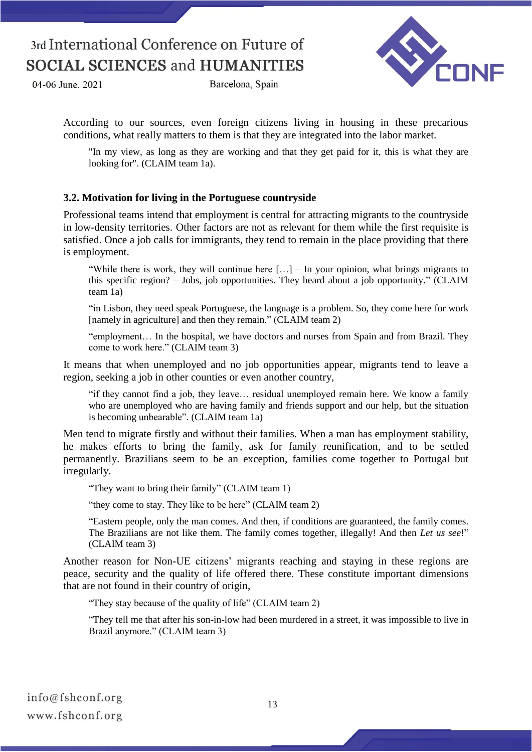04-06 June, 2021





According to our sources, even foreign citizens living in housing in these precarious conditions, what really matters to them is that they are integrated into the labor market.

"In my view, as long as they are working and that they get paid for it, this is what they are looking for". (CLAIM team 1a).

#### **3.2. Motivation for living in the Portuguese countryside**

Professional teams intend that employment is central for attracting migrants to the countryside in low-density territories. Other factors are not as relevant for them while the first requisite is satisfied. Once a job calls for immigrants, they tend to remain in the place providing that there is employment.

"While there is work, they will continue here  $[\dots]$  – In your opinion, what brings migrants to this specific region? – Jobs, job opportunities. They heard about a job opportunity." (CLAIM team 1a)

"in Lisbon, they need speak Portuguese, the language is a problem. So, they come here for work [namely in agriculture] and then they remain." (CLAIM team 2)

"employment… In the hospital, we have doctors and nurses from Spain and from Brazil. They come to work here." (CLAIM team 3)

It means that when unemployed and no job opportunities appear, migrants tend to leave a region, seeking a job in other counties or even another country,

"if they cannot find a job, they leave… residual unemployed remain here. We know a family who are unemployed who are having family and friends support and our help, but the situation is becoming unbearable". (CLAIM team 1a)

Men tend to migrate firstly and without their families. When a man has employment stability, he makes efforts to bring the family, ask for family reunification, and to be settled permanently. Brazilians seem to be an exception, families come together to Portugal but irregularly.

"They want to bring their family" (CLAIM team 1)

"they come to stay. They like to be here" (CLAIM team 2)

"Eastern people, only the man comes. And then, if conditions are guaranteed, the family comes. The Brazilians are not like them. The family comes together, illegally! And then *Let us see*!" (CLAIM team 3)

Another reason for Non-UE citizens' migrants reaching and staying in these regions are peace, security and the quality of life offered there. These constitute important dimensions that are not found in their country of origin,

"They stay because of the quality of life" (CLAIM team 2)

"They tell me that after his son-in-low had been murdered in a street, it was impossible to live in Brazil anymore." (CLAIM team 3)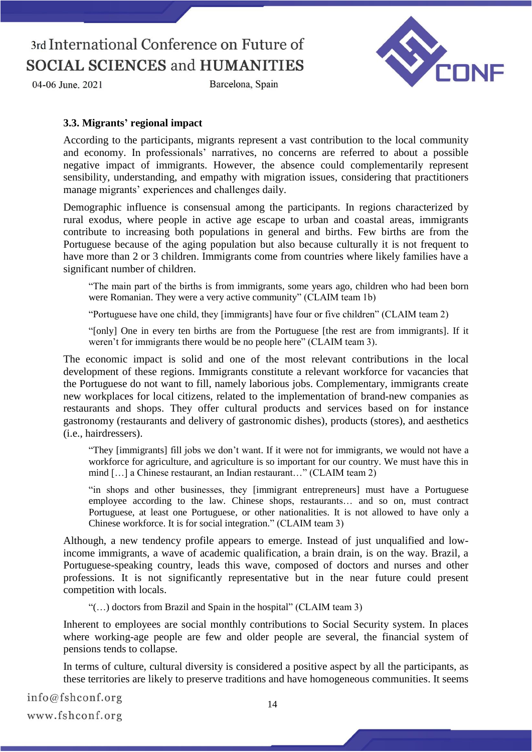04-06 June, 2021

Barcelona, Spain



#### **3.3. Migrants' regional impact**

According to the participants, migrants represent a vast contribution to the local community and economy. In professionals' narratives, no concerns are referred to about a possible negative impact of immigrants. However, the absence could complementarily represent sensibility, understanding, and empathy with migration issues, considering that practitioners manage migrants' experiences and challenges daily.

Demographic influence is consensual among the participants. In regions characterized by rural exodus, where people in active age escape to urban and coastal areas, immigrants contribute to increasing both populations in general and births. Few births are from the Portuguese because of the aging population but also because culturally it is not frequent to have more than 2 or 3 children. Immigrants come from countries where likely families have a significant number of children.

"The main part of the births is from immigrants, some years ago, children who had been born were Romanian. They were a very active community" (CLAIM team 1b)

"Portuguese have one child, they [immigrants] have four or five children" (CLAIM team 2)

"[only] One in every ten births are from the Portuguese [the rest are from immigrants]. If it weren't for immigrants there would be no people here" (CLAIM team 3).

The economic impact is solid and one of the most relevant contributions in the local development of these regions. Immigrants constitute a relevant workforce for vacancies that the Portuguese do not want to fill, namely laborious jobs. Complementary, immigrants create new workplaces for local citizens, related to the implementation of brand-new companies as restaurants and shops. They offer cultural products and services based on for instance gastronomy (restaurants and delivery of gastronomic dishes), products (stores), and aesthetics (i.e., hairdressers).

"They [immigrants] fill jobs we don't want. If it were not for immigrants, we would not have a workforce for agriculture, and agriculture is so important for our country. We must have this in mind […] a Chinese restaurant, an Indian restaurant…" (CLAIM team 2)

"in shops and other businesses, they [immigrant entrepreneurs] must have a Portuguese employee according to the law. Chinese shops, restaurants… and so on, must contract Portuguese, at least one Portuguese, or other nationalities. It is not allowed to have only a Chinese workforce. It is for social integration." (CLAIM team 3)

Although, a new tendency profile appears to emerge. Instead of just unqualified and lowincome immigrants, a wave of academic qualification, a brain drain, is on the way. Brazil, a Portuguese-speaking country, leads this wave, composed of doctors and nurses and other professions. It is not significantly representative but in the near future could present competition with locals.

"(…) doctors from Brazil and Spain in the hospital" (CLAIM team 3)

Inherent to employees are social monthly contributions to Social Security system. In places where working-age people are few and older people are several, the financial system of pensions tends to collapse.

In terms of culture, cultural diversity is considered a positive aspect by all the participants, as these territories are likely to preserve traditions and have homogeneous communities. It seems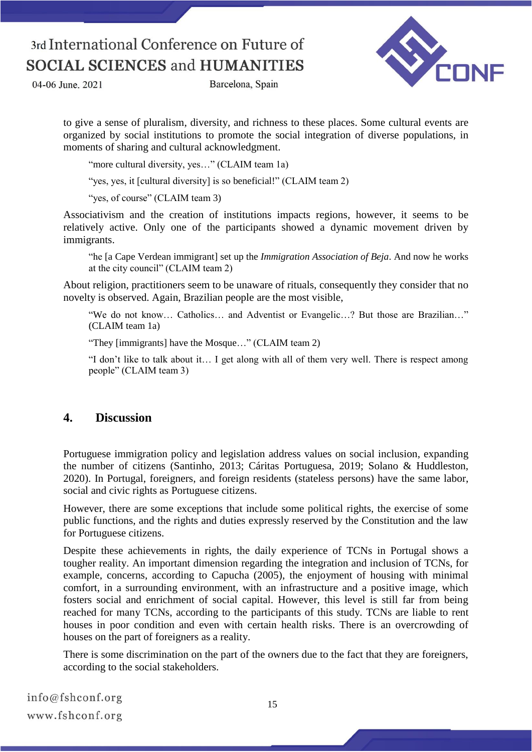04-06 June, 2021

Barcelona, Spain



to give a sense of pluralism, diversity, and richness to these places. Some cultural events are organized by social institutions to promote the social integration of diverse populations, in moments of sharing and cultural acknowledgment.

"more cultural diversity, yes..." (CLAIM team 1a)

"yes, yes, it [cultural diversity] is so beneficial!" (CLAIM team 2)

"yes, of course" (CLAIM team 3)

Associativism and the creation of institutions impacts regions, however, it seems to be relatively active. Only one of the participants showed a dynamic movement driven by immigrants.

"he [a Cape Verdean immigrant] set up the *Immigration Association of Beja*. And now he works at the city council" (CLAIM team 2)

About religion, practitioners seem to be unaware of rituals, consequently they consider that no novelty is observed. Again, Brazilian people are the most visible,

"We do not know… Catholics… and Adventist or Evangelic…? But those are Brazilian…" (CLAIM team 1a)

"They [immigrants] have the Mosque…" (CLAIM team 2)

"I don't like to talk about it… I get along with all of them very well. There is respect among people" (CLAIM team 3)

### **4. Discussion**

Portuguese immigration policy and legislation address values on social inclusion, expanding the number of citizens (Santinho, 2013; Cáritas Portuguesa, 2019; Solano & Huddleston, 2020). In Portugal, foreigners, and foreign residents (stateless persons) have the same labor, social and civic rights as Portuguese citizens.

However, there are some exceptions that include some political rights, the exercise of some public functions, and the rights and duties expressly reserved by the Constitution and the law for Portuguese citizens.

Despite these achievements in rights, the daily experience of TCNs in Portugal shows a tougher reality. An important dimension regarding the integration and inclusion of TCNs, for example, concerns, according to Capucha (2005), the enjoyment of housing with minimal comfort, in a surrounding environment, with an infrastructure and a positive image, which fosters social and enrichment of social capital. However, this level is still far from being reached for many TCNs, according to the participants of this study. TCNs are liable to rent houses in poor condition and even with certain health risks. There is an overcrowding of houses on the part of foreigners as a reality.

There is some discrimination on the part of the owners due to the fact that they are foreigners, according to the social stakeholders.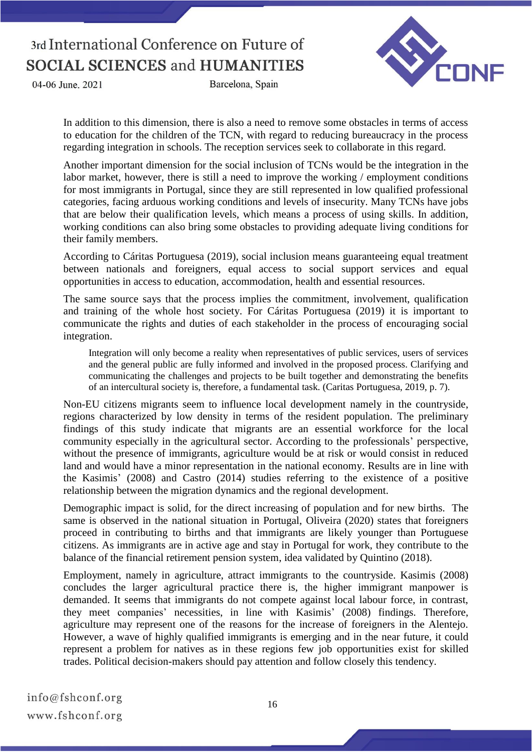04-06 June, 2021

Barcelona, Spain



In addition to this dimension, there is also a need to remove some obstacles in terms of access to education for the children of the TCN, with regard to reducing bureaucracy in the process regarding integration in schools. The reception services seek to collaborate in this regard.

Another important dimension for the social inclusion of TCNs would be the integration in the labor market, however, there is still a need to improve the working / employment conditions for most immigrants in Portugal, since they are still represented in low qualified professional categories, facing arduous working conditions and levels of insecurity. Many TCNs have jobs that are below their qualification levels, which means a process of using skills. In addition, working conditions can also bring some obstacles to providing adequate living conditions for their family members.

According to Cáritas Portuguesa (2019), social inclusion means guaranteeing equal treatment between nationals and foreigners, equal access to social support services and equal opportunities in access to education, accommodation, health and essential resources.

The same source says that the process implies the commitment, involvement, qualification and training of the whole host society. For Cáritas Portuguesa (2019) it is important to communicate the rights and duties of each stakeholder in the process of encouraging social integration.

Integration will only become a reality when representatives of public services, users of services and the general public are fully informed and involved in the proposed process. Clarifying and communicating the challenges and projects to be built together and demonstrating the benefits of an intercultural society is, therefore, a fundamental task. (Caritas Portuguesa, 2019, p. 7).

Non-EU citizens migrants seem to influence local development namely in the countryside, regions characterized by low density in terms of the resident population. The preliminary findings of this study indicate that migrants are an essential workforce for the local community especially in the agricultural sector. According to the professionals' perspective, without the presence of immigrants, agriculture would be at risk or would consist in reduced land and would have a minor representation in the national economy. Results are in line with the Kasimis' (2008) and Castro (2014) studies referring to the existence of a positive relationship between the migration dynamics and the regional development.

Demographic impact is solid, for the direct increasing of population and for new births. The same is observed in the national situation in Portugal, Oliveira (2020) states that foreigners proceed in contributing to births and that immigrants are likely younger than Portuguese citizens. As immigrants are in active age and stay in Portugal for work, they contribute to the balance of the financial retirement pension system, idea validated by Quintino (2018).

Employment, namely in agriculture, attract immigrants to the countryside. Kasimis (2008) concludes the larger agricultural practice there is, the higher immigrant manpower is demanded. It seems that immigrants do not compete against local labour force, in contrast, they meet companies' necessities, in line with Kasimis' (2008) findings. Therefore, agriculture may represent one of the reasons for the increase of foreigners in the Alentejo. However, a wave of highly qualified immigrants is emerging and in the near future, it could represent a problem for natives as in these regions few job opportunities exist for skilled trades. Political decision-makers should pay attention and follow closely this tendency.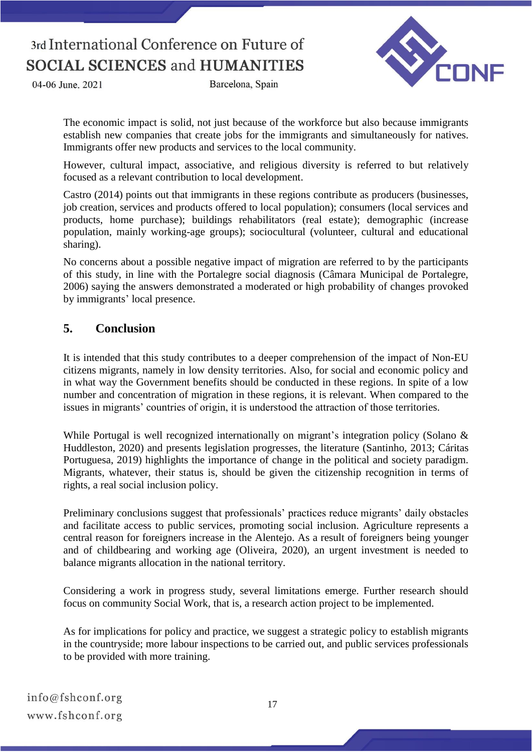04-06 June, 2021

Barcelona, Spain



The economic impact is solid, not just because of the workforce but also because immigrants establish new companies that create jobs for the immigrants and simultaneously for natives. Immigrants offer new products and services to the local community.

However, cultural impact, associative, and religious diversity is referred to but relatively focused as a relevant contribution to local development.

Castro (2014) points out that immigrants in these regions contribute as producers (businesses, job creation, services and products offered to local population); consumers (local services and products, home purchase); buildings rehabilitators (real estate); demographic (increase population, mainly working-age groups); sociocultural (volunteer, cultural and educational sharing).

No concerns about a possible negative impact of migration are referred to by the participants of this study, in line with the Portalegre social diagnosis (Câmara Municipal de Portalegre, 2006) saying the answers demonstrated a moderated or high probability of changes provoked by immigrants' local presence.

### **5. Conclusion**

It is intended that this study contributes to a deeper comprehension of the impact of Non-EU citizens migrants, namely in low density territories. Also, for social and economic policy and in what way the Government benefits should be conducted in these regions. In spite of a low number and concentration of migration in these regions, it is relevant. When compared to the issues in migrants' countries of origin, it is understood the attraction of those territories.

While Portugal is well recognized internationally on migrant's integration policy (Solano & Huddleston, 2020) and presents legislation progresses, the literature (Santinho, 2013; Cáritas Portuguesa, 2019) highlights the importance of change in the political and society paradigm. Migrants, whatever, their status is, should be given the citizenship recognition in terms of rights, a real social inclusion policy.

Preliminary conclusions suggest that professionals' practices reduce migrants' daily obstacles and facilitate access to public services, promoting social inclusion. Agriculture represents a central reason for foreigners increase in the Alentejo. As a result of foreigners being younger and of childbearing and working age (Oliveira, 2020), an urgent investment is needed to balance migrants allocation in the national territory.

Considering a work in progress study, several limitations emerge. Further research should focus on community Social Work, that is, a research action project to be implemented.

As for implications for policy and practice, we suggest a strategic policy to establish migrants in the countryside; more labour inspections to be carried out, and public services professionals to be provided with more training.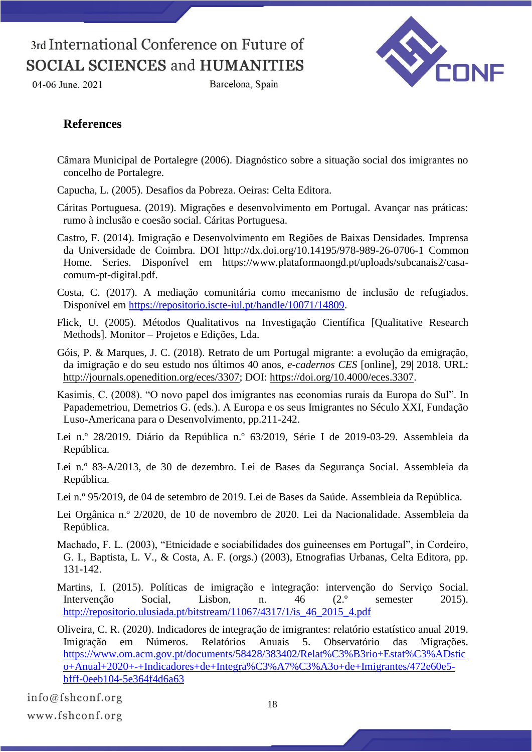

Barcelona, Spain



### **References**

- Câmara Municipal de Portalegre (2006). Diagnóstico sobre a situação social dos imigrantes no concelho de Portalegre.
- Capucha, L. (2005). Desafios da Pobreza. Oeiras: Celta Editora.
- Cáritas Portuguesa. (2019). Migrações e desenvolvimento em Portugal. Avançar nas práticas: rumo à inclusão e coesão social. Cáritas Portuguesa.
- Castro, F. (2014). Imigração e Desenvolvimento em Regiões de Baixas Densidades. Imprensa da Universidade de Coimbra. DOI http://dx.doi.org/10.14195/978-989-26-0706-1 Common Home. Series. Disponível em https://www.plataformaongd.pt/uploads/subcanais2/casacomum-pt-digital.pdf.
- Costa, C. (2017). A mediação comunitária como mecanismo de inclusão de refugiados. Disponível em [https://repositorio.iscte-iul.pt/handle/10071/14809.](https://repositorio.iscte-iul.pt/handle/10071/14809)
- Flick, U. (2005). Métodos Qualitativos na Investigação Científica [Qualitative Research Methods]. Monitor – Projetos e Edições, Lda.
- Góis, P. & Marques, J. C. (2018). Retrato de um Portugal migrante: a evolução da emigração, da imigração e do seu estudo nos últimos 40 anos, *e-cadernos CES* [online], 29| 2018. URL: [http://journals.openedition.org/eces/3307;](http://journals.openedition.org/eces/3307) DOI: [https://doi.org/10.4000/eces.3307.](https://doi.org/10.4000/eces.3307)
- Kasimis, C. (2008). "O novo papel dos imigrantes nas economias rurais da Europa do Sul". In Papademetriou, Demetrios G. (eds.). A Europa e os seus Imigrantes no Século XXI, Fundação Luso-Americana para o Desenvolvimento, pp.211-242.
- Lei n.º 28/2019. Diário da República n.º 63/2019, Série I de 2019-03-29. Assembleia da República.
- Lei n.º 83-A/2013, de 30 de dezembro. Lei de Bases da Segurança Social. Assembleia da República.
- Lei n.º 95/2019, de 04 de setembro de 2019. Lei de Bases da Saúde. Assembleia da República.
- Lei Orgânica n.º 2/2020, de 10 de novembro de 2020. Lei da Nacionalidade. Assembleia da República.
- Machado, F. L. (2003), "Etnicidade e sociabilidades dos guineenses em Portugal", in Cordeiro, G. I., Baptista, L. V., & Costa, A. F. (orgs.) (2003), Etnografias Urbanas, Celta Editora, pp. 131-142.
- Martins, I. (2015). Políticas de imigração e integração: intervenção do Serviço Social. Intervenção Social, Lisbon, n. 46 (2.º semester 2015). [http://repositorio.ulusiada.pt/bitstream/11067/4317/1/is\\_46\\_2015\\_4.pdf](http://repositorio.ulusiada.pt/bitstream/11067/4317/1/is_46_2015_4.pdf)
- Oliveira, C. R. (2020). Indicadores de integração de imigrantes: relatório estatístico anual 2019. Imigração em Números. Relatórios Anuais 5. Observatório das Migrações. [https://www.om.acm.gov.pt/documents/58428/383402/Relat%C3%B3rio+Estat%C3%ADstic](https://www.om.acm.gov.pt/documents/58428/383402/Relat%C3%B3rio+Estat%C3%ADstico+Anual+2020+-+Indicadores+de+Integra%C3%A7%C3%A3o+de+Imigrantes/472e60e5-bfff-0eeb104-5e364f4d6a63) [o+Anual+2020+-+Indicadores+de+Integra%C3%A7%C3%A3o+de+Imigrantes/472e60e5](https://www.om.acm.gov.pt/documents/58428/383402/Relat%C3%B3rio+Estat%C3%ADstico+Anual+2020+-+Indicadores+de+Integra%C3%A7%C3%A3o+de+Imigrantes/472e60e5-bfff-0eeb104-5e364f4d6a63) [bfff-0eeb104-5e364f4d6a63](https://www.om.acm.gov.pt/documents/58428/383402/Relat%C3%B3rio+Estat%C3%ADstico+Anual+2020+-+Indicadores+de+Integra%C3%A7%C3%A3o+de+Imigrantes/472e60e5-bfff-0eeb104-5e364f4d6a63)